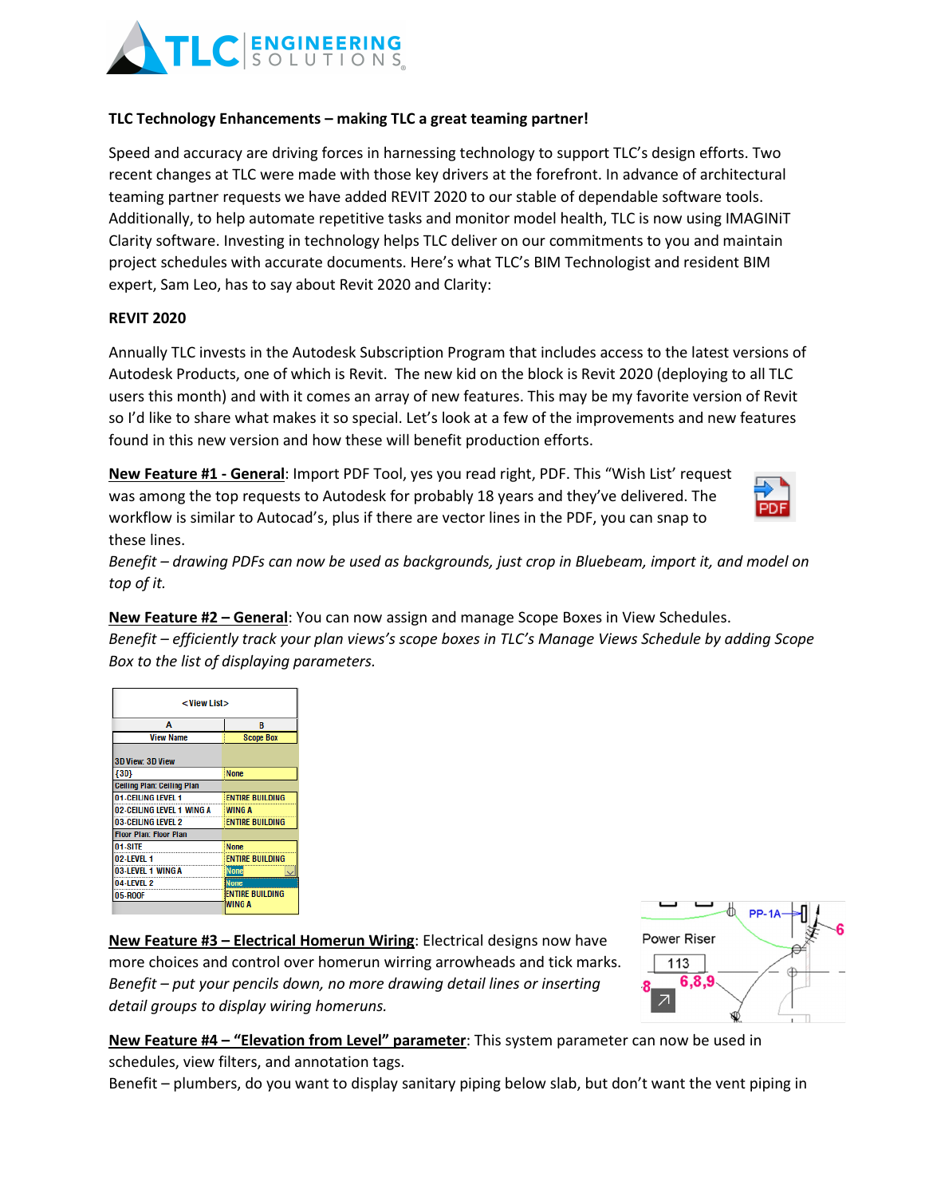

## **TLC Technology Enhancements – making TLC a great teaming partner!**

Speed and accuracy are driving forces in harnessing technology to support TLC's design efforts. Two recent changes at TLC were made with those key drivers at the forefront. In advance of architectural teaming partner requests we have added REVIT 2020 to our stable of dependable software tools. Additionally, to help automate repetitive tasks and monitor model health, TLC is now using IMAGINiT Clarity software. Investing in technology helps TLC deliver on our commitments to you and maintain project schedules with accurate documents. Here's what TLC's BIM Technologist and resident BIM expert, Sam Leo, has to say about Revit 2020 and Clarity:

## **REVIT 2020**

Annually TLC invests in the Autodesk Subscription Program that includes access to the latest versions of Autodesk Products, one of which is Revit. The new kid on the block is Revit 2020 (deploying to all TLC users this month) and with it comes an array of new features. This may be my favorite version of Revit so I'd like to share what makes it so special. Let's look at a few of the improvements and new features found in this new version and how these will benefit production efforts.

**New Feature #1 - General**: Import PDF Tool, yes you read right, PDF. This "Wish List' request was among the top requests to Autodesk for probably 18 years and they've delivered. The workflow is similar to Autocad's, plus if there are vector lines in the PDF, you can snap to these lines.



*Benefit – drawing PDFs can now be used as backgrounds, just crop in Bluebeam, import it, and model on top of it.* 

**New Feature #2 – General**: You can now assign and manage Scope Boxes in View Schedules.

*Benefit – efficiently track your plan views's scope boxes in TLC's Manage Views Schedule by adding Scope Box to the list of displaying parameters.*

| <view list=""></view>         |                        |  |  |
|-------------------------------|------------------------|--|--|
| А                             | B                      |  |  |
| <b>View Name</b>              | <b>Scope Box</b>       |  |  |
| 3D View: 3D View              |                        |  |  |
| ${3D}$                        | <b>None</b>            |  |  |
| Ceiling Plan: Ceiling Plan    |                        |  |  |
| 01-CEILING LEVEL 1            | <b>ENTIRE BUILDING</b> |  |  |
| 02-CEILING LEVEL 1 WING A     | <b>WING A</b>          |  |  |
| 03-CEILING LEVEL 2            | <b>ENTIRE BUILDING</b> |  |  |
| <b>Floor Plan: Floor Plan</b> |                        |  |  |
| 01-SITE                       | <b>None</b>            |  |  |
| 02-LEVEL 1                    | <b>ENTIRE BUILDING</b> |  |  |
| 03-LEVEL 1 WING A             | <b>None</b>            |  |  |
| 04-LEVEL 2                    | <b>None</b>            |  |  |
| 05-ROOF                       | <b>ENTIRE BUILDING</b> |  |  |
|                               | WING A                 |  |  |

**New Feature #3 – Electrical Homerun Wiring**: Electrical designs now have more choices and control over homerun wirring arrowheads and tick marks. *Benefit – put your pencils down, no more drawing detail lines or inserting detail groups to display wiring homeruns.*



**New Feature #4 – "Elevation from Level" parameter**: This system parameter can now be used in schedules, view filters, and annotation tags.

Benefit – plumbers, do you want to display sanitary piping below slab, but don't want the vent piping in